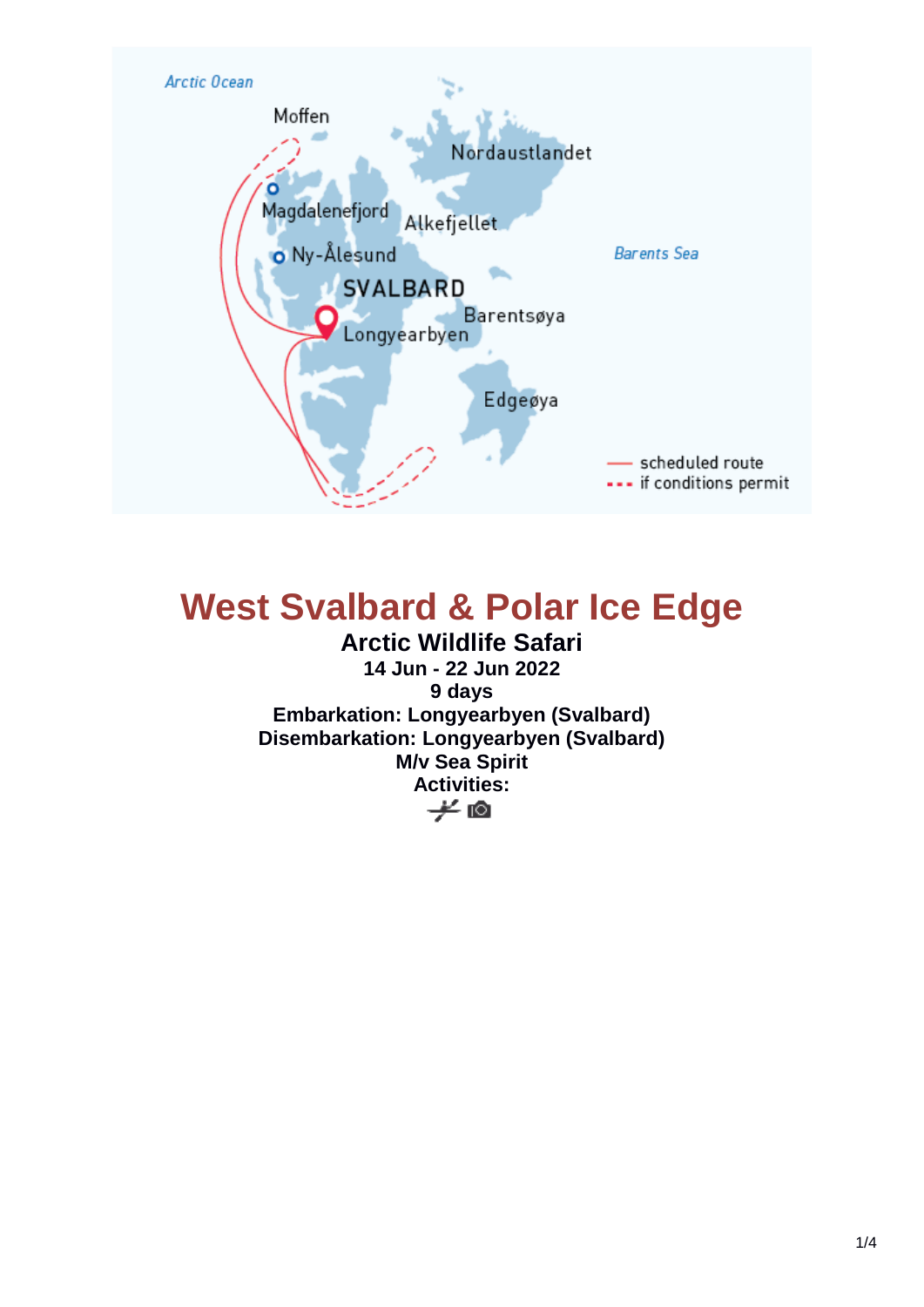

# **West Svalbard & Polar Ice Edge**

**Arctic Wildlife Safari 14 Jun - 22 Jun 2022 9 days Embarkation: Longyearbyen (Svalbard) Disembarkation: Longyearbyen (Svalbard) M/v Sea Spirit** Activities:<br><del>少</del> 回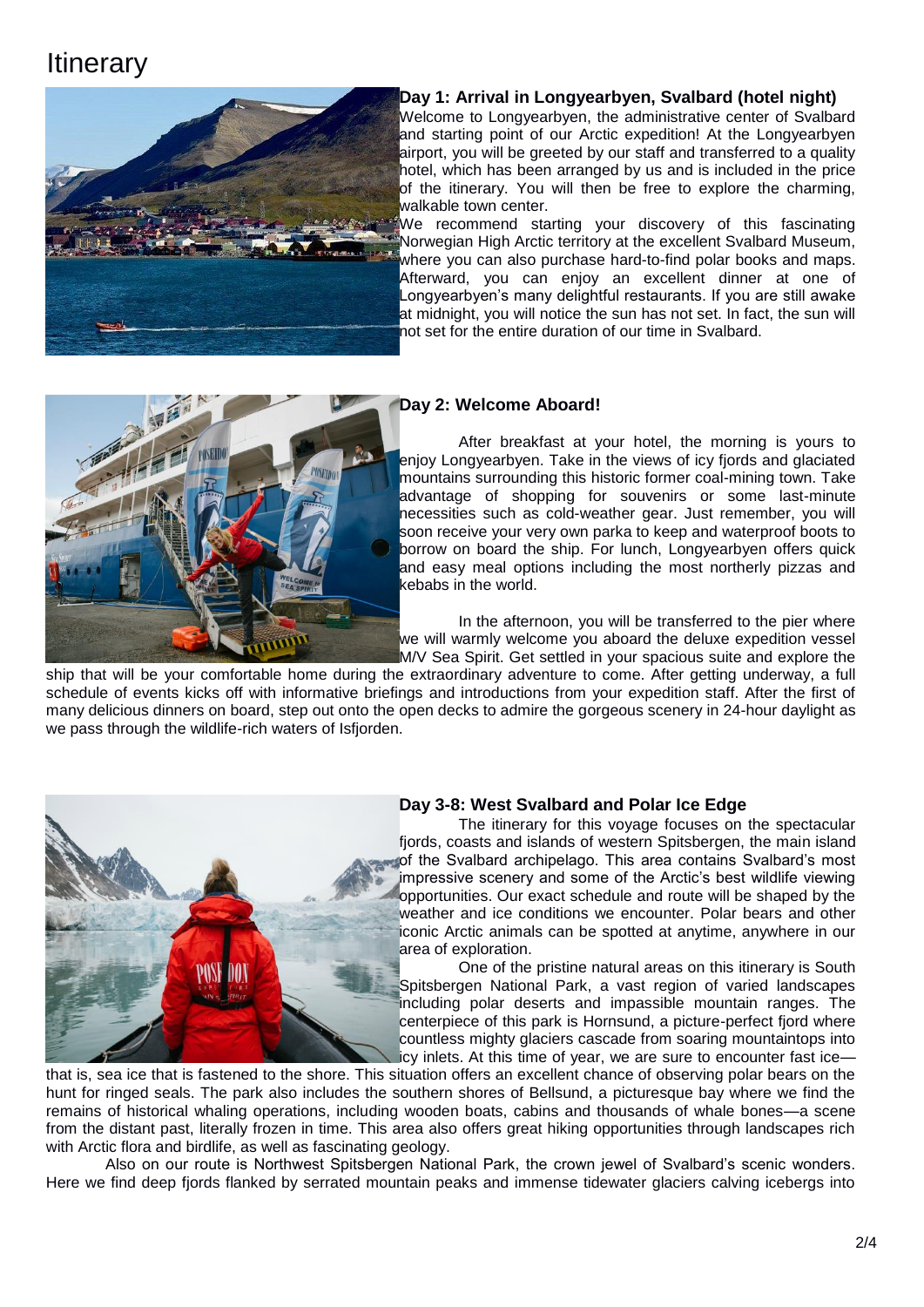# **Itinerary**



### **Day 1: Arrival in Longyearbyen, Svalbard (hotel night)**

Welcome to Longyearbyen, the administrative center of Svalbard and starting point of our Arctic expedition! At the Longyearbyen airport, you will be greeted by our staff and transferred to a quality hotel, which has been arranged by us and is included in the price of the itinerary. You will then be free to explore the charming, walkable town center.

We recommend starting your discovery of this fascinating Norwegian High Arctic territory at the excellent Svalbard Museum, where you can also purchase hard-to-find polar books and maps. Afterward, you can enjoy an excellent dinner at one of Longyearbyen's many delightful restaurants. If you are still awake at midnight, you will notice the sun has not set. In fact, the sun will not set for the entire duration of our time in Svalbard.



#### **Day 2: Welcome Aboard!**

After breakfast at your hotel, the morning is yours to enjoy Longyearbyen. Take in the views of icy fjords and glaciated mountains surrounding this historic former coal-mining town. Take advantage of shopping for souvenirs or some last-minute necessities such as cold-weather gear. Just remember, you will soon receive your very own parka to keep and waterproof boots to borrow on board the ship. For lunch, Longyearbyen offers quick and easy meal options including the most northerly pizzas and kebabs in the world.

In the afternoon, you will be transferred to the pier where we will warmly welcome you aboard the deluxe expedition vessel M/V Sea Spirit. Get settled in your spacious suite and explore the

ship that will be your comfortable home during the extraordinary adventure to come. After getting underway, a full schedule of events kicks off with informative briefings and introductions from your expedition staff. After the first of many delicious dinners on board, step out onto the open decks to admire the gorgeous scenery in 24-hour daylight as we pass through the wildlife-rich waters of Isfjorden.



#### **Day 3-8: West Svalbard and Polar Ice Edge**

The itinerary for this voyage focuses on the spectacular fjords, coasts and islands of western Spitsbergen, the main island of the Svalbard archipelago. This area contains Svalbard's most impressive scenery and some of the Arctic's best wildlife viewing opportunities. Our exact schedule and route will be shaped by the weather and ice conditions we encounter. Polar bears and other iconic Arctic animals can be spotted at anytime, anywhere in our area of exploration.

One of the pristine natural areas on this itinerary is South Spitsbergen National Park, a vast region of varied landscapes including polar deserts and impassible mountain ranges. The centerpiece of this park is Hornsund, a picture-perfect fjord where countless mighty glaciers cascade from soaring mountaintops into icy inlets. At this time of year, we are sure to encounter fast ice—

that is, sea ice that is fastened to the shore. This situation offers an excellent chance of observing polar bears on the hunt for ringed seals. The park also includes the southern shores of Bellsund, a picturesque bay where we find the remains of historical whaling operations, including wooden boats, cabins and thousands of whale bones—a scene from the distant past, literally frozen in time. This area also offers great hiking opportunities through landscapes rich with Arctic flora and birdlife, as well as fascinating geology.

Also on our route is Northwest Spitsbergen National Park, the crown jewel of Svalbard's scenic wonders. Here we find deep fjords flanked by serrated mountain peaks and immense tidewater glaciers calving icebergs into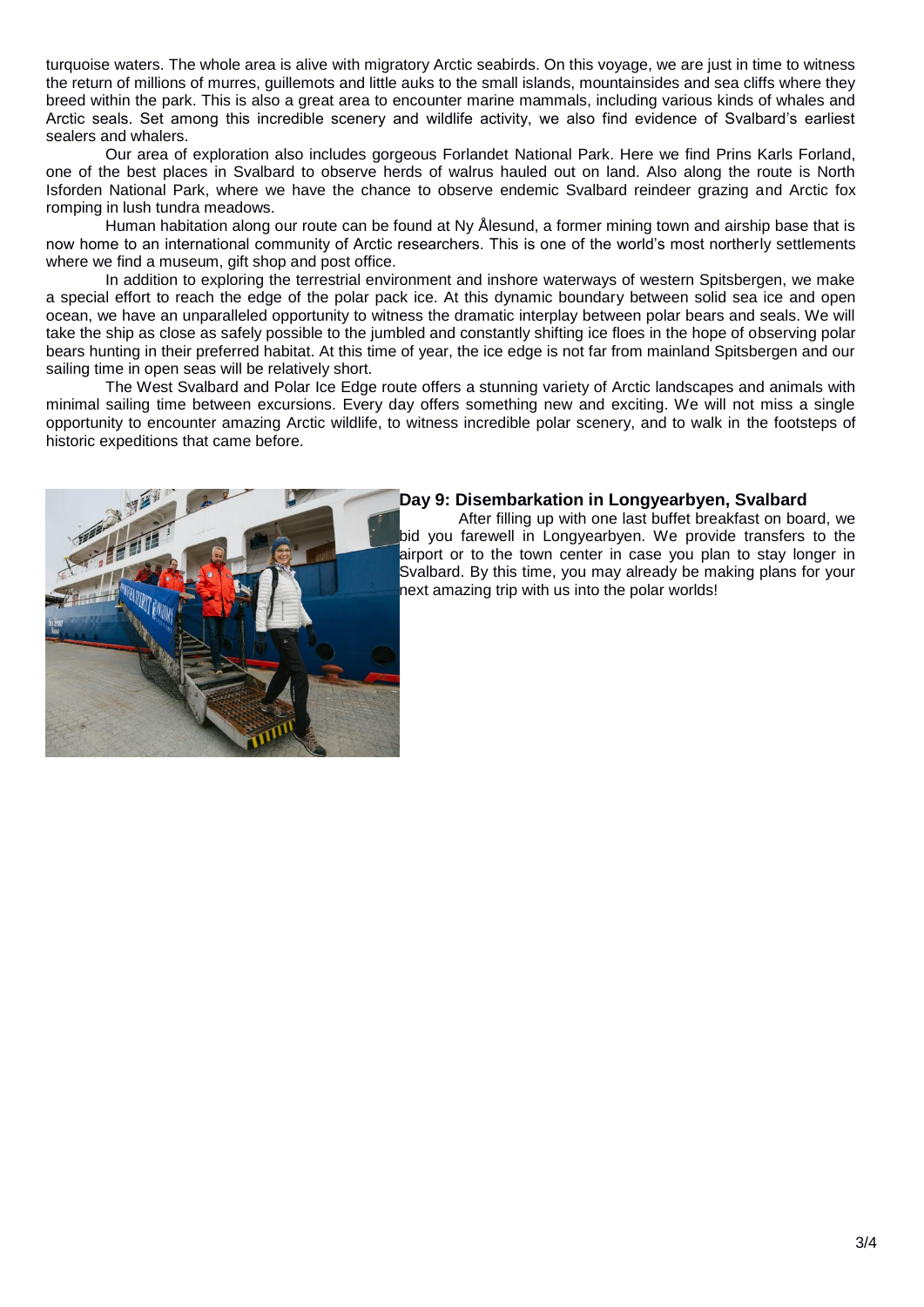turquoise waters. The whole area is alive with migratory Arctic seabirds. On this voyage, we are just in time to witness the return of millions of murres, guillemots and little auks to the small islands, mountainsides and sea cliffs where they breed within the park. This is also a great area to encounter marine mammals, including various kinds of whales and Arctic seals. Set among this incredible scenery and wildlife activity, we also find evidence of Svalbard's earliest sealers and whalers.

Our area of exploration also includes gorgeous Forlandet National Park. Here we find Prins Karls Forland, one of the best places in Svalbard to observe herds of walrus hauled out on land. Also along the route is North Isforden National Park, where we have the chance to observe endemic Svalbard reindeer grazing and Arctic fox romping in lush tundra meadows.

Human habitation along our route can be found at Ny Ålesund, a former mining town and airship base that is now home to an international community of Arctic researchers. This is one of the world's most northerly settlements where we find a museum, gift shop and post office.

In addition to exploring the terrestrial environment and inshore waterways of western Spitsbergen, we make a special effort to reach the edge of the polar pack ice. At this dynamic boundary between solid sea ice and open ocean, we have an unparalleled opportunity to witness the dramatic interplay between polar bears and seals. We will take the ship as close as safely possible to the jumbled and constantly shifting ice floes in the hope of observing polar bears hunting in their preferred habitat. At this time of year, the ice edge is not far from mainland Spitsbergen and our sailing time in open seas will be relatively short.

The West Svalbard and Polar Ice Edge route offers a stunning variety of Arctic landscapes and animals with minimal sailing time between excursions. Every day offers something new and exciting. We will not miss a single opportunity to encounter amazing Arctic wildlife, to witness incredible polar scenery, and to walk in the footsteps of historic expeditions that came before.



#### **Day 9: Disembarkation in Longyearbyen, Svalbard**

After filling up with one last buffet breakfast on board, we bid you farewell in Longyearbyen. We provide transfers to the airport or to the town center in case you plan to stay longer in Svalbard. By this time, you may already be making plans for your next amazing trip with us into the polar worlds!